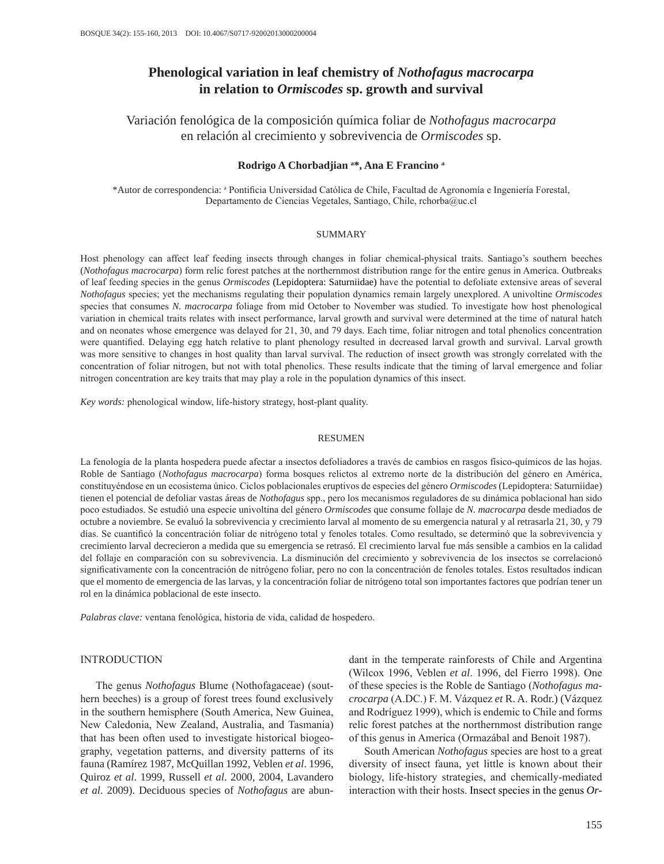# **Phenological variation in leaf chemistry of** *Nothofagus macrocarpa* **in relation to** *Ormiscodes* **sp. growth and survival**

Variación fenológica de la composición química foliar de *Nothofagus macrocarpa* en relación al crecimiento y sobrevivencia de *Ormiscodes* sp.

### **Rodrigo A Chorbadjian a \*, Ana E Francino a**

\*Autor de correspondencia: a Pontificia Universidad Católica de Chile, Facultad de Agronomía e Ingeniería Forestal, Departamento de Ciencias Vegetales, Santiago, Chile, rchorba@uc.cl

#### **SUMMARY**

Host phenology can affect leaf feeding insects through changes in foliar chemical-physical traits. Santiago's southern beeches (*Nothofagus macrocarpa*) form relic forest patches at the northernmost distribution range for the entire genus in America. Outbreaks of leaf feeding species in the genus *Ormiscodes* (Lepidoptera: Saturniidae) have the potential to defoliate extensive areas of several *Nothofagus* species; yet the mechanisms regulating their population dynamics remain largely unexplored. A univoltine *Ormiscodes*  species that consumes *N. macrocarpa* foliage from mid October to November was studied. To investigate how host phenological variation in chemical traits relates with insect performance, larval growth and survival were determined at the time of natural hatch and on neonates whose emergence was delayed for 21, 30, and 79 days. Each time, foliar nitrogen and total phenolics concentration were quantified. Delaying egg hatch relative to plant phenology resulted in decreased larval growth and survival. Larval growth was more sensitive to changes in host quality than larval survival. The reduction of insect growth was strongly correlated with the concentration of foliar nitrogen, but not with total phenolics. These results indicate that the timing of larval emergence and foliar nitrogen concentration are key traits that may play a role in the population dynamics of this insect.

*Key words:* phenological window, life-history strategy, host-plant quality.

#### RESUMEN

La fenología de la planta hospedera puede afectar a insectos defoliadores a través de cambios en rasgos físico-químicos de las hojas. Roble de Santiago (*Nothofagus macrocarpa*) forma bosques relictos al extremo norte de la distribución del género en América, constituyéndose en un ecosistema único. Ciclos poblacionales eruptivos de especies del género *Ormiscodes* (Lepidoptera: Saturniidae) tienen el potencial de defoliar vastas áreas de *Nothofagus* spp., pero los mecanismos reguladores de su dinámica poblacional han sido poco estudiados. Se estudió una especie univoltina del género *Ormiscodes* que consume follaje de *N. macrocarpa* desde mediados de octubre a noviembre. Se evaluó la sobrevivencia y crecimiento larval al momento de su emergencia natural y al retrasarla 21, 30, y 79 días. Se cuantificó la concentración foliar de nitrógeno total y fenoles totales. Como resultado, se determinó que la sobrevivencia y crecimiento larval decrecieron a medida que su emergencia se retrasó. El crecimiento larval fue más sensible a cambios en la calidad del follaje en comparación con su sobrevivencia. La disminución del crecimiento y sobrevivencia de los insectos se correlacionó significativamente con la concentración de nitrógeno foliar, pero no con la concentración de fenoles totales. Estos resultados indican que el momento de emergencia de las larvas, y la concentración foliar de nitrógeno total son importantes factores que podrían tener un rol en la dinámica poblacional de este insecto.

*Palabras clave:* ventana fenológica, historia de vida, calidad de hospedero.

### INTRODUCTION

The genus *Nothofagus* Blume (Nothofagaceae) (southern beeches) is a group of forest trees found exclusively in the southern hemisphere (South America, New Guinea, New Caledonia, New Zealand, Australia, and Tasmania) that has been often used to investigate historical biogeography, vegetation patterns, and diversity patterns of its fauna (Ramírez 1987, McQuillan 1992, Veblen *et al*. 1996, Quiroz *et al*. 1999, Russell *et al*. 2000, 2004, Lavandero *et al*. 2009). Deciduous species of *Nothofagus* are abundant in the temperate rainforests of Chile and Argentina (Wilcox 1996, Veblen *et al*. 1996, del Fierro 1998). One of these species is the Roble de Santiago (*Nothofagus macrocarpa* (A.DC.) F. M. Vázquez *et* R. A. Rodr.) (Vázquez and Rodríguez 1999), which is endemic to Chile and forms relic forest patches at the northernmost distribution range of this genus in America (Ormazábal and Benoit 1987).

South American *Nothofagus* species are host to a great diversity of insect fauna, yet little is known about their biology, life-history strategies, and chemically-mediated interaction with their hosts. Insect species in the genus *Or-*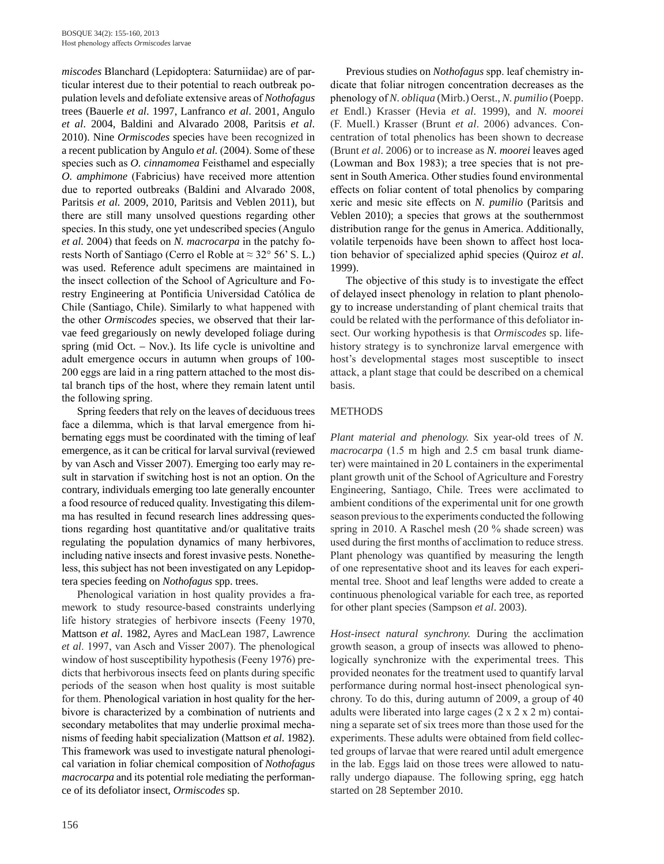*miscodes* Blanchard (Lepidoptera: Saturniidae) are of particular interest due to their potential to reach outbreak population levels and defoliate extensive areas of *Nothofagus* trees (Bauerle *et al*. 1997, Lanfranco *et al*. 2001, Angulo *et al*. 2004, Baldini and Alvarado 2008, Paritsis *et al*. 2010). Nine *Ormiscodes* species have been recognized in a recent publication by Angulo *et al.* (2004). Some of these species such as *O. cinnamomea* Feisthamel and especially *O. amphimone* (Fabricius) have received more attention due to reported outbreaks (Baldini and Alvarado 2008, Paritsis *et al.* 2009, 2010, Paritsis and Veblen 2011), but there are still many unsolved questions regarding other species. In this study, one yet undescribed species (Angulo *et al.* 2004) that feeds on *N. macrocarpa* in the patchy forests North of Santiago (Cerro el Roble at  $\approx 32^{\circ}$  56' S. L.) was used. Reference adult specimens are maintained in the insect collection of the School of Agriculture and Forestry Engineering at Pontificia Universidad Católica de Chile (Santiago, Chile). Similarly to what happened with the other *Ormiscodes* species, we observed that their larvae feed gregariously on newly developed foliage during spring (mid Oct. – Nov.). Its life cycle is univoltine and adult emergence occurs in autumn when groups of 100- 200 eggs are laid in a ring pattern attached to the most distal branch tips of the host, where they remain latent until the following spring.

Spring feeders that rely on the leaves of deciduous trees face a dilemma, which is that larval emergence from hibernating eggs must be coordinated with the timing of leaf emergence, as it can be critical for larval survival (reviewed by van Asch and Visser 2007). Emerging too early may result in starvation if switching host is not an option. On the contrary, individuals emerging too late generally encounter a food resource of reduced quality. Investigating this dilemma has resulted in fecund research lines addressing questions regarding host quantitative and/or qualitative traits regulating the population dynamics of many herbivores, including native insects and forest invasive pests. Nonetheless, this subject has not been investigated on any Lepidoptera species feeding on *Nothofagus* spp. trees.

Phenological variation in host quality provides a framework to study resource-based constraints underlying life history strategies of herbivore insects (Feeny 1970, Mattson *et al*. 1982, Ayres and MacLean 1987, Lawrence *et al*. 1997, van Asch and Visser 2007). The phenological window of host susceptibility hypothesis (Feeny 1976) predicts that herbivorous insects feed on plants during specific periods of the season when host quality is most suitable for them. Phenological variation in host quality for the herbivore is characterized by a combination of nutrients and secondary metabolites that may underlie proximal mechanisms of feeding habit specialization (Mattson *et al*. 1982). This framework was used to investigate natural phenological variation in foliar chemical composition of *Nothofagus macrocarpa* and its potential role mediating the performance of its defoliator insect, *Ormiscodes* sp.

Previous studies on *Nothofagus* spp. leaf chemistry indicate that foliar nitrogen concentration decreases as the phenology of *N. obliqua* (Mirb.) Oerst., *N. pumilio* (Poepp. *et* Endl.) Krasser (Hevia *et al*. 1999), and *N. moorei* (F. Muell.) Krasser (Brunt *et al*. 2006) advances. Concentration of total phenolics has been shown to decrease (Brunt *et al*. 2006) or to increase as *N. moorei* leaves aged (Lowman and Box 1983); a tree species that is not present in South America. Other studies found environmental effects on foliar content of total phenolics by comparing xeric and mesic site effects on *N. pumilio* (Paritsis and Veblen 2010); a species that grows at the southernmost distribution range for the genus in America. Additionally, volatile terpenoids have been shown to affect host location behavior of specialized aphid species (Quiroz *et al*. 1999).

The objective of this study is to investigate the effect of delayed insect phenology in relation to plant phenology to increase understanding of plant chemical traits that could be related with the performance of this defoliator insect. Our working hypothesis is that *Ormiscodes* sp. lifehistory strategy is to synchronize larval emergence with host's developmental stages most susceptible to insect attack, a plant stage that could be described on a chemical basis.

# METHODS

*Plant material and phenology.* Six year-old trees of *N. macrocarpa* (1.5 m high and 2.5 cm basal trunk diameter) were maintained in 20 L containers in the experimental plant growth unit of the School of Agriculture and Forestry Engineering, Santiago, Chile. Trees were acclimated to ambient conditions of the experimental unit for one growth season previous to the experiments conducted the following spring in 2010. A Raschel mesh (20 % shade screen) was used during the first months of acclimation to reduce stress. Plant phenology was quantified by measuring the length of one representative shoot and its leaves for each experimental tree. Shoot and leaf lengths were added to create a continuous phenological variable for each tree, as reported for other plant species (Sampson *et al*. 2003).

*Host-insect natural synchrony.* During the acclimation growth season, a group of insects was allowed to phenologically synchronize with the experimental trees. This provided neonates for the treatment used to quantify larval performance during normal host-insect phenological synchrony. To do this, during autumn of 2009, a group of 40 adults were liberated into large cages (2 x 2 x 2 m) containing a separate set of six trees more than those used for the experiments. These adults were obtained from field collected groups of larvae that were reared until adult emergence in the lab. Eggs laid on those trees were allowed to naturally undergo diapause. The following spring, egg hatch started on 28 September 2010.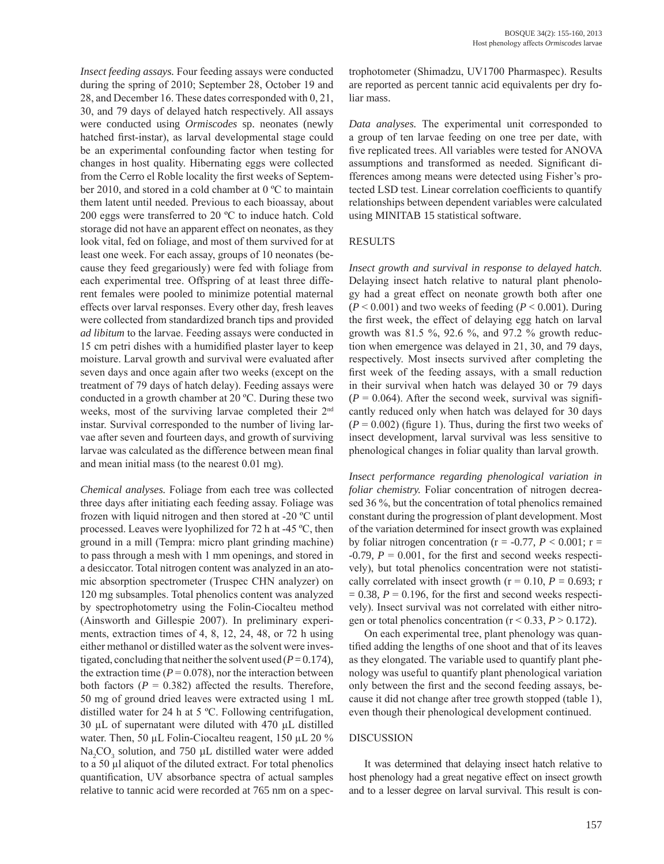*Insect feeding assays.* Four feeding assays were conducted during the spring of 2010; September 28, October 19 and 28, and December 16. These dates corresponded with 0, 21, 30, and 79 days of delayed hatch respectively. All assays were conducted using *Ormiscodes* sp. neonates (newly hatched first-instar), as larval developmental stage could be an experimental confounding factor when testing for changes in host quality. Hibernating eggs were collected from the Cerro el Roble locality the first weeks of September 2010, and stored in a cold chamber at 0 ºC to maintain them latent until needed. Previous to each bioassay, about 200 eggs were transferred to 20 ºC to induce hatch. Cold storage did not have an apparent effect on neonates, as they look vital, fed on foliage, and most of them survived for at least one week. For each assay, groups of 10 neonates (because they feed gregariously) were fed with foliage from each experimental tree. Offspring of at least three different females were pooled to minimize potential maternal effects over larval responses. Every other day, fresh leaves were collected from standardized branch tips and provided *ad libitum* to the larvae. Feeding assays were conducted in 15 cm petri dishes with a humidified plaster layer to keep moisture. Larval growth and survival were evaluated after seven days and once again after two weeks (except on the treatment of 79 days of hatch delay). Feeding assays were conducted in a growth chamber at 20 ºC. During these two weeks, most of the surviving larvae completed their 2nd instar. Survival corresponded to the number of living larvae after seven and fourteen days, and growth of surviving larvae was calculated as the difference between mean final and mean initial mass (to the nearest 0.01 mg).

*Chemical analyses.* Foliage from each tree was collected three days after initiating each feeding assay. Foliage was frozen with liquid nitrogen and then stored at -20 ºC until processed. Leaves were lyophilized for 72 h at -45 ºC, then ground in a mill (Tempra: micro plant grinding machine) to pass through a mesh with 1 mm openings, and stored in a desiccator. Total nitrogen content was analyzed in an atomic absorption spectrometer (Truspec CHN analyzer) on 120 mg subsamples. Total phenolics content was analyzed by spectrophotometry using the Folin-Ciocalteu method (Ainsworth and Gillespie 2007). In preliminary experiments, extraction times of 4, 8, 12, 24, 48, or 72 h using either methanol or distilled water as the solvent were investigated, concluding that neither the solvent used  $(P=0.174)$ , the extraction time ( $P = 0.078$ ), nor the interaction between both factors  $(P = 0.382)$  affected the results. Therefore, 50 mg of ground dried leaves were extracted using 1 mL distilled water for 24 h at 5 ºC. Following centrifugation, 30 µL of supernatant were diluted with 470 µL distilled water. Then, 50 µL Folin-Ciocalteu reagent, 150 µL 20 %  $\text{Na}_2\text{CO}_3$  solution, and 750 µL distilled water were added to a 50 µl aliquot of the diluted extract. For total phenolics quantification, UV absorbance spectra of actual samples relative to tannic acid were recorded at 765 nm on a spec-

trophotometer (Shimadzu, UV1700 Pharmaspec). Results are reported as percent tannic acid equivalents per dry foliar mass.

*Data analyses.* The experimental unit corresponded to a group of ten larvae feeding on one tree per date, with five replicated trees. All variables were tested for ANOVA assumptions and transformed as needed. Significant differences among means were detected using Fisher's protected LSD test. Linear correlation coefficients to quantify relationships between dependent variables were calculated using MINITAB 15 statistical software.

# RESULTS

*Insect growth and survival in response to delayed hatch.* Delaying insect hatch relative to natural plant phenology had a great effect on neonate growth both after one (*P* < 0.001) and two weeks of feeding (*P* < 0.001). During the first week, the effect of delaying egg hatch on larval growth was 81.5 %, 92.6 %, and 97.2 % growth reduction when emergence was delayed in 21, 30, and 79 days, respectively. Most insects survived after completing the first week of the feeding assays, with a small reduction in their survival when hatch was delayed 30 or 79 days  $(P = 0.064)$ . After the second week, survival was significantly reduced only when hatch was delayed for 30 days  $(P = 0.002)$  (figure 1). Thus, during the first two weeks of insect development, larval survival was less sensitive to phenological changes in foliar quality than larval growth.

*Insect performance regarding phenological variation in foliar chemistry.* Foliar concentration of nitrogen decreased 36 %, but the concentration of total phenolics remained constant during the progression of plant development. Most of the variation determined for insect growth was explained by foliar nitrogen concentration ( $r = -0.77$ ,  $P < 0.001$ ;  $r =$  $-0.79$ ,  $P = 0.001$ , for the first and second weeks respectively), but total phenolics concentration were not statistically correlated with insect growth ( $r = 0.10$ ,  $P = 0.693$ ; r  $= 0.38$ ,  $P = 0.196$ , for the first and second weeks respectively). Insect survival was not correlated with either nitrogen or total phenolics concentration  $(r < 0.33, P > 0.172)$ .

On each experimental tree, plant phenology was quantified adding the lengths of one shoot and that of its leaves as they elongated. The variable used to quantify plant phenology was useful to quantify plant phenological variation only between the first and the second feeding assays, because it did not change after tree growth stopped (table 1), even though their phenological development continued.

# DISCUSSION

It was determined that delaying insect hatch relative to host phenology had a great negative effect on insect growth and to a lesser degree on larval survival. This result is con-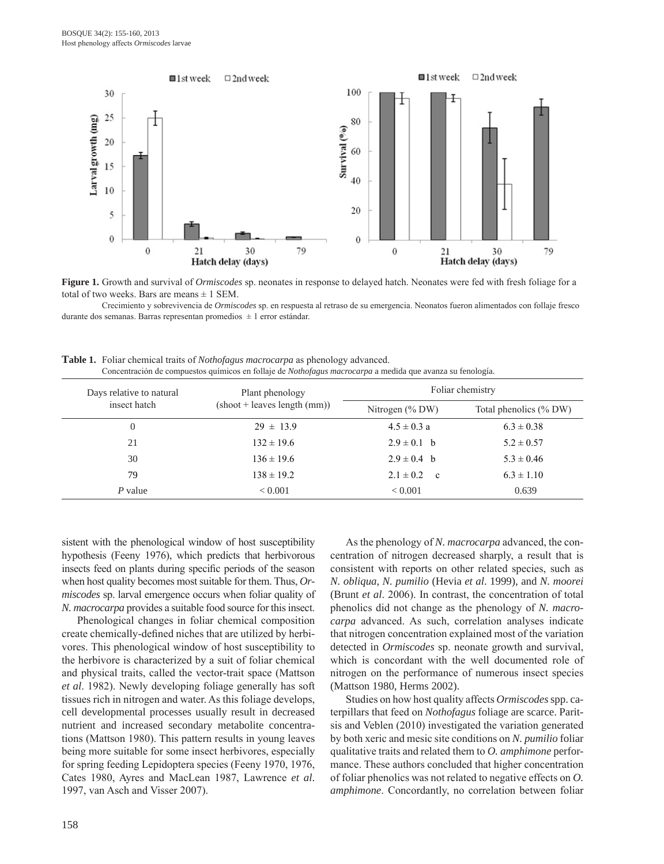

**Figure 1.** Growth and survival of *Ormiscodes* sp. neonates in response to delayed hatch. Neonates were fed with fresh foliage for a total of two weeks. Bars are means  $\pm$  1 SEM.

Crecimiento y sobrevivencia de *Ormiscodes* sp. en respuesta al retraso de su emergencia. Neonatos fueron alimentados con follaje fresco durante dos semanas. Barras representan promedios  $\pm 1$  error estándar.

| Table 1. Foliar chemical traits of Nothofagus macrocarpa as phenology advanced.                                   |  |  |
|-------------------------------------------------------------------------------------------------------------------|--|--|
| Concentración de compuestos químicos en follaje de <i>Nothofagus macrocarpa</i> a medida que avanza su fenología. |  |  |

| Days relative to natural | Plant phenology<br>$(\text{shoot} + \text{leaves length (mm)})$ | Foliar chemistry              |                        |
|--------------------------|-----------------------------------------------------------------|-------------------------------|------------------------|
| insect hatch             |                                                                 | Nitrogen $(\%$ DW)            | Total phenolics (% DW) |
| $\overline{0}$           | $29 \pm 13.9$                                                   | $4.5 \pm 0.3$ a               | $6.3 \pm 0.38$         |
| 21                       | $132 \pm 19.6$                                                  | $2.9 \pm 0.1$ b               | $5.2 \pm 0.57$         |
| 30                       | $136 \pm 19.6$                                                  | $2.9 \pm 0.4$ b               | $5.3 \pm 0.46$         |
| 79                       | $138 \pm 19.2$                                                  | $2.1 \pm 0.2$<br>$\mathbf{c}$ | $6.3 \pm 1.10$         |
| P value                  | ${}_{< 0.001}$                                                  | ${}_{< 0.001}$                | 0.639                  |

sistent with the phenological window of host susceptibility hypothesis (Feeny 1976), which predicts that herbivorous insects feed on plants during specific periods of the season when host quality becomes most suitable for them. Thus, *Ormiscodes* sp. larval emergence occurs when foliar quality of *N. macrocarpa* provides a suitable food source for this insect.

Phenological changes in foliar chemical composition create chemically-defined niches that are utilized by herbivores. This phenological window of host susceptibility to the herbivore is characterized by a suit of foliar chemical and physical traits, called the vector-trait space (Mattson *et al*. 1982). Newly developing foliage generally has soft tissues rich in nitrogen and water. As this foliage develops, cell developmental processes usually result in decreased nutrient and increased secondary metabolite concentrations (Mattson 1980). This pattern results in young leaves being more suitable for some insect herbivores, especially for spring feeding Lepidoptera species (Feeny 1970, 1976, Cates 1980, Ayres and MacLean 1987, Lawrence *et al*. 1997, van Asch and Visser 2007).

As the phenology of *N. macrocarpa* advanced, the concentration of nitrogen decreased sharply, a result that is consistent with reports on other related species, such as *N. obliqua*, *N. pumilio* (Hevia *et al*. 1999), and *N. moorei* (Brunt *et al*. 2006). In contrast, the concentration of total phenolics did not change as the phenology of *N. macrocarpa* advanced. As such, correlation analyses indicate that nitrogen concentration explained most of the variation detected in *Ormiscodes* sp. neonate growth and survival, which is concordant with the well documented role of nitrogen on the performance of numerous insect species (Mattson 1980, Herms 2002).

Studies on how host quality affects *Ormiscodes* spp. caterpillars that feed on *Nothofagus* foliage are scarce. Paritsis and Veblen (2010) investigated the variation generated by both xeric and mesic site conditions on *N. pumilio* foliar qualitative traits and related them to *O. amphimone* performance. These authors concluded that higher concentration of foliar phenolics was not related to negative effects on *O. amphimone*. Concordantly, no correlation between foliar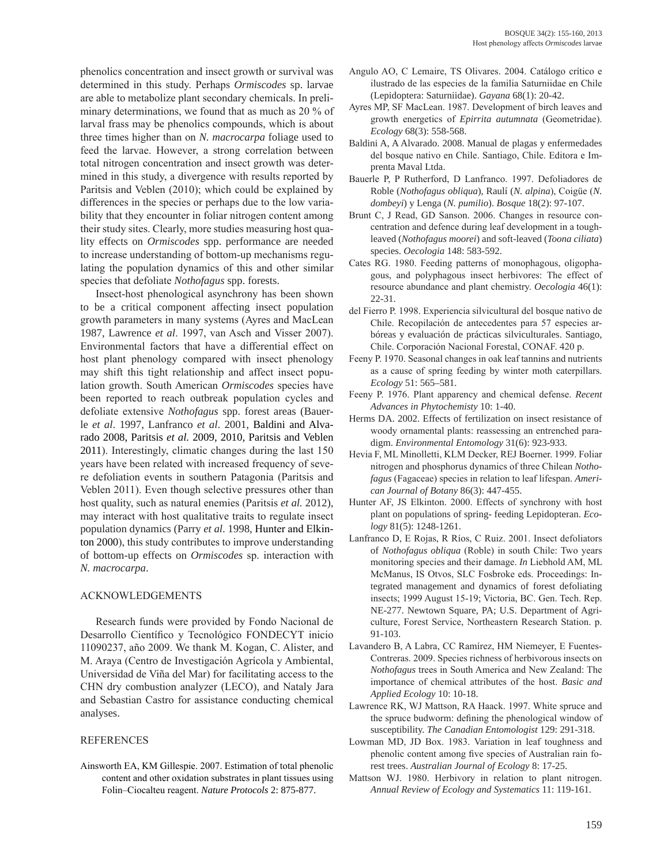phenolics concentration and insect growth or survival was determined in this study. Perhaps *Ormiscodes* sp. larvae are able to metabolize plant secondary chemicals. In preliminary determinations, we found that as much as 20 % of larval frass may be phenolics compounds, which is about three times higher than on *N. macrocarpa* foliage used to feed the larvae. However, a strong correlation between total nitrogen concentration and insect growth was determined in this study, a divergence with results reported by Paritsis and Veblen (2010); which could be explained by differences in the species or perhaps due to the low variability that they encounter in foliar nitrogen content among their study sites. Clearly, more studies measuring host quality effects on *Ormiscodes* spp. performance are needed to increase understanding of bottom-up mechanisms regulating the population dynamics of this and other similar species that defoliate *Nothofagus* spp. forests.

Insect-host phenological asynchrony has been shown to be a critical component affecting insect population growth parameters in many systems (Ayres and MacLean 1987, Lawrence *et al*. 1997, van Asch and Visser 2007). Environmental factors that have a differential effect on host plant phenology compared with insect phenology may shift this tight relationship and affect insect population growth. South American *Ormiscodes* species have been reported to reach outbreak population cycles and defoliate extensive *Nothofagus* spp. forest areas (Bauerle *et al*. 1997, Lanfranco *et al*. 2001, Baldini and Alvarado 2008, Paritsis *et al.* 2009, 2010, Paritsis and Veblen 2011). Interestingly, climatic changes during the last 150 years have been related with increased frequency of severe defoliation events in southern Patagonia (Paritsis and Veblen 2011). Even though selective pressures other than host quality, such as natural enemies (Paritsis *et al.* 2012), may interact with host qualitative traits to regulate insect population dynamics (Parry *et al*. 1998, Hunter and Elkinton 2000), this study contributes to improve understanding of bottom-up effects on *Ormiscodes* sp. interaction with *N. macrocarpa*.

# ACKNOWLEDGEMENTS

Research funds were provided by Fondo Nacional de Desarrollo Científico y Tecnológico FONDECYT inicio 11090237, año 2009. We thank M. Kogan, C. Alister, and M. Araya (Centro de Investigación Agrícola y Ambiental, Universidad de Viña del Mar) for facilitating access to the CHN dry combustion analyzer (LECO), and Nataly Jara and Sebastian Castro for assistance conducting chemical analyses.

# **REFERENCES**

Ainsworth EA, KM Gillespie. 2007. Estimation of total phenolic content and other oxidation substrates in plant tissues using Folin–Ciocalteu reagent. *Nature Protocols* 2: 875-877.

- Angulo AO, C Lemaire, TS Olivares. 2004. Catálogo crítico e ilustrado de las especies de la familia Saturniidae en Chile (Lepidoptera: Saturniidae). *Gayana* 68(1): 20-42.
- Ayres MP, SF MacLean. 1987. Development of birch leaves and growth energetics of *Epirrita autumnata* (Geometridae). *Ecology* 68(3): 558-568.
- Baldini A, A Alvarado. 2008. Manual de plagas y enfermedades del bosque nativo en Chile. Santiago, Chile. Editora e Imprenta Maval Ltda.
- Bauerle P, P Rutherford, D Lanfranco. 1997. Defoliadores de Roble (*Nothofagus obliqua*), Raulí (*N. alpina*), Coigüe (*N. dombeyi*) y Lenga (*N. pumilio*). *Bosque* 18(2): 97-107.
- Brunt C, J Read, GD Sanson. 2006. Changes in resource concentration and defence during leaf development in a toughleaved (*Nothofagus moorei*) and soft-leaved (*Toona ciliata*) species. *Oecologia* 148: 583-592.
- Cates RG. 1980. Feeding patterns of monophagous, oligophagous, and polyphagous insect herbivores: The effect of resource abundance and plant chemistry. *Oecologia* 46(1): 22-31.
- del Fierro P. 1998. Experiencia silvicultural del bosque nativo de Chile. Recopilación de antecedentes para 57 especies arbóreas y evaluación de prácticas silviculturales. Santiago, Chile. Corporación Nacional Forestal, CONAF. 420 p.
- Feeny P. 1970. Seasonal changes in oak leaf tannins and nutrients as a cause of spring feeding by winter moth caterpillars. *Ecology* 51: 565–581.
- Feeny P. 1976. Plant apparency and chemical defense. *Recent Advances in Phytochemisty* 10: 1-40.
- Herms DA. 2002. Effects of fertilization on insect resistance of woody ornamental plants: reassessing an entrenched paradigm. *Environmental Entomology* 31(6): 923-933.
- Hevia F, ML Minolletti, KLM Decker, REJ Boerner. 1999. Foliar nitrogen and phosphorus dynamics of three Chilean *Nothofagus* (Fagaceae) species in relation to leaf lifespan. *American Journal of Botany* 86(3): 447-455.
- Hunter AF, JS Elkinton. 2000. Effects of synchrony with host plant on populations of spring- feeding Lepidopteran. *Ecology* 81(5): 1248-1261.
- Lanfranco D, E Rojas, R Ríos, C Ruiz. 2001. Insect defoliators of *Nothofagus obliqua* (Roble) in south Chile: Two years monitoring species and their damage. *In* Liebhold AM, ML McManus, IS Otvos, SLC Fosbroke eds. Proceedings: Integrated management and dynamics of forest defoliating insects; 1999 August 15-19; Victoria, BC. Gen. Tech. Rep. NE-277. Newtown Square, PA; U.S. Department of Agriculture, Forest Service, Northeastern Research Station. p. 91-103.
- Lavandero B, A Labra, CC Ramírez, HM Niemeyer, E Fuentes-Contreras. 2009. Species richness of herbivorous insects on *Nothofagus* trees in South America and New Zealand: The importance of chemical attributes of the host. *Basic and Applied Ecology* 10: 10-18.
- Lawrence RK, WJ Mattson, RA Haack. 1997. White spruce and the spruce budworm: defining the phenological window of susceptibility. *The Canadian Entomologist* 129: 291-318.
- Lowman MD, JD Box. 1983. Variation in leaf toughness and phenolic content among five species of Australian rain forest trees. *Australian Journal of Ecology* 8: 17-25.
- Mattson WJ. 1980. Herbivory in relation to plant nitrogen. *Annual Review of Ecology and Systematics* 11: 119-161.